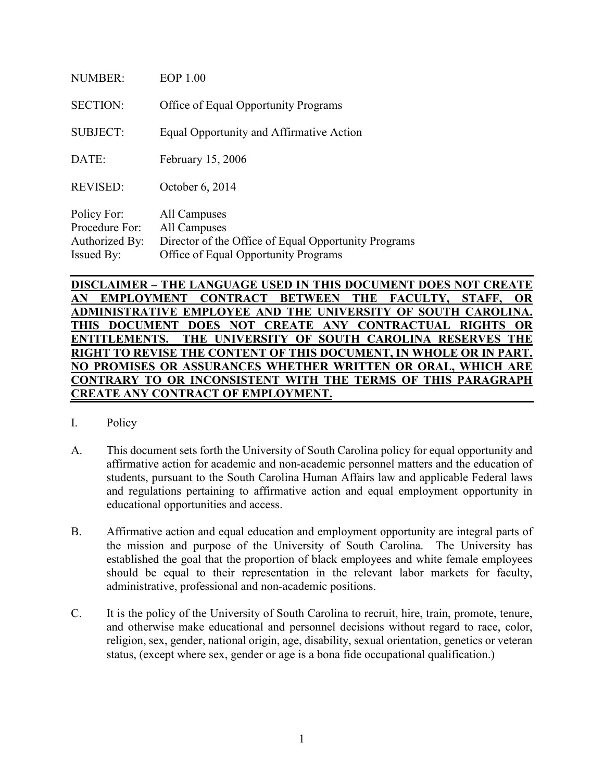| <b>NUMBER:</b>                                                       | <b>EOP 1.00</b>                                                                                                              |
|----------------------------------------------------------------------|------------------------------------------------------------------------------------------------------------------------------|
| <b>SECTION:</b>                                                      | Office of Equal Opportunity Programs                                                                                         |
| <b>SUBJECT:</b>                                                      | Equal Opportunity and Affirmative Action                                                                                     |
| DATE:                                                                | February 15, 2006                                                                                                            |
| <b>REVISED:</b>                                                      | October 6, 2014                                                                                                              |
| Policy For:<br>Procedure For:<br>Authorized By:<br><b>Issued By:</b> | All Campuses<br>All Campuses<br>Director of the Office of Equal Opportunity Programs<br>Office of Equal Opportunity Programs |

**DISCLAIMER – THE LANGUAGE USED IN THIS DOCUMENT DOES NOT CREATE AN EMPLOYMENT CONTRACT BETWEEN THE FACULTY, STAFF, OR ADMINISTRATIVE EMPLOYEE AND THE UNIVERSITY OF SOUTH CAROLINA. THIS DOCUMENT DOES NOT CREATE ANY CONTRACTUAL RIGHTS OR ENTITLEMENTS. THE UNIVERSITY OF SOUTH CAROLINA RESERVES THE RIGHT TO REVISE THE CONTENT OF THIS DOCUMENT, IN WHOLE OR IN PART. NO PROMISES OR ASSURANCES WHETHER WRITTEN OR ORAL, WHICH ARE CONTRARY TO OR INCONSISTENT WITH THE TERMS OF THIS PARAGRAPH CREATE ANY CONTRACT OF EMPLOYMENT.**

- I. Policy
- A. This document sets forth the University of South Carolina policy for equal opportunity and affirmative action for academic and non-academic personnel matters and the education of students, pursuant to the South Carolina Human Affairs law and applicable Federal laws and regulations pertaining to affirmative action and equal employment opportunity in educational opportunities and access.
- B. Affirmative action and equal education and employment opportunity are integral parts of the mission and purpose of the University of South Carolina. The University has established the goal that the proportion of black employees and white female employees should be equal to their representation in the relevant labor markets for faculty, administrative, professional and non-academic positions.
- C. It is the policy of the University of South Carolina to recruit, hire, train, promote, tenure, and otherwise make educational and personnel decisions without regard to race, color, religion, sex, gender, national origin, age, disability, sexual orientation, genetics or veteran status, (except where sex, gender or age is a bona fide occupational qualification.)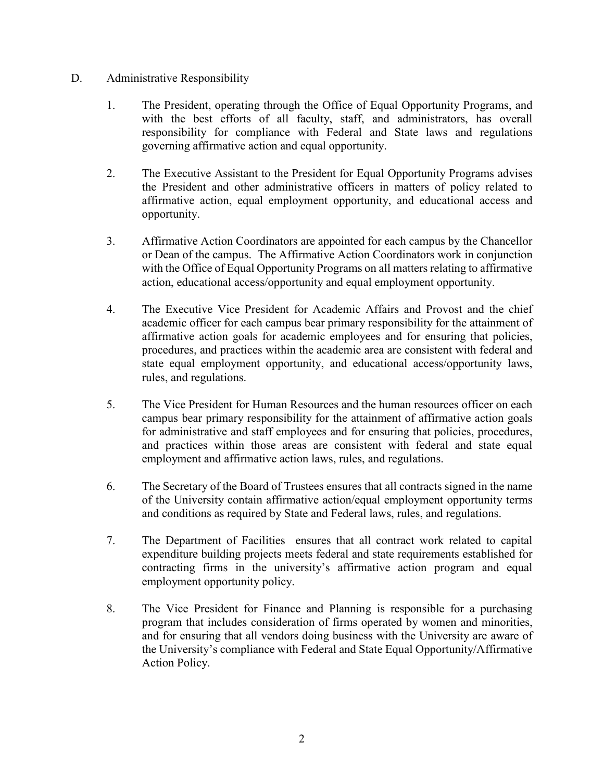### D. Administrative Responsibility

- 1. The President, operating through the Office of Equal Opportunity Programs, and with the best efforts of all faculty, staff, and administrators, has overall responsibility for compliance with Federal and State laws and regulations governing affirmative action and equal opportunity.
- 2. The Executive Assistant to the President for Equal Opportunity Programs advises the President and other administrative officers in matters of policy related to affirmative action, equal employment opportunity, and educational access and opportunity.
- 3. Affirmative Action Coordinators are appointed for each campus by the Chancellor or Dean of the campus. The Affirmative Action Coordinators work in conjunction with the Office of Equal Opportunity Programs on all matters relating to affirmative action, educational access/opportunity and equal employment opportunity.
- 4. The Executive Vice President for Academic Affairs and Provost and the chief academic officer for each campus bear primary responsibility for the attainment of affirmative action goals for academic employees and for ensuring that policies, procedures, and practices within the academic area are consistent with federal and state equal employment opportunity, and educational access/opportunity laws, rules, and regulations.
- 5. The Vice President for Human Resources and the human resources officer on each campus bear primary responsibility for the attainment of affirmative action goals for administrative and staff employees and for ensuring that policies, procedures, and practices within those areas are consistent with federal and state equal employment and affirmative action laws, rules, and regulations.
- 6. The Secretary of the Board of Trustees ensures that all contracts signed in the name of the University contain affirmative action/equal employment opportunity terms and conditions as required by State and Federal laws, rules, and regulations.
- 7. The Department of Facilities ensures that all contract work related to capital expenditure building projects meets federal and state requirements established for contracting firms in the university's affirmative action program and equal employment opportunity policy.
- 8. The Vice President for Finance and Planning is responsible for a purchasing program that includes consideration of firms operated by women and minorities, and for ensuring that all vendors doing business with the University are aware of the University's compliance with Federal and State Equal Opportunity/Affirmative Action Policy.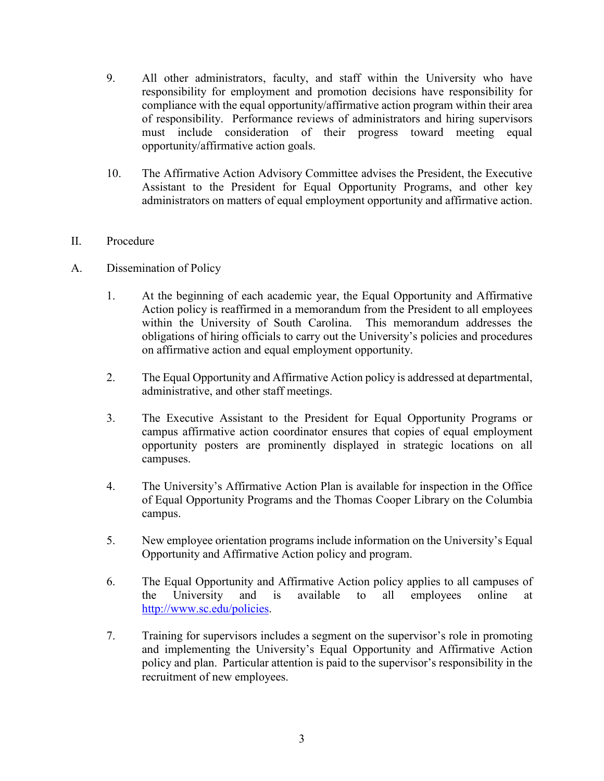- 9. All other administrators, faculty, and staff within the University who have responsibility for employment and promotion decisions have responsibility for compliance with the equal opportunity/affirmative action program within their area of responsibility. Performance reviews of administrators and hiring supervisors must include consideration of their progress toward meeting equal opportunity/affirmative action goals.
- 10. The Affirmative Action Advisory Committee advises the President, the Executive Assistant to the President for Equal Opportunity Programs, and other key administrators on matters of equal employment opportunity and affirmative action.

### II. Procedure

- A. Dissemination of Policy
	- 1. At the beginning of each academic year, the Equal Opportunity and Affirmative Action policy is reaffirmed in a memorandum from the President to all employees within the University of South Carolina. This memorandum addresses the obligations of hiring officials to carry out the University's policies and procedures on affirmative action and equal employment opportunity.
	- 2. The Equal Opportunity and Affirmative Action policy is addressed at departmental, administrative, and other staff meetings.
	- 3. The Executive Assistant to the President for Equal Opportunity Programs or campus affirmative action coordinator ensures that copies of equal employment opportunity posters are prominently displayed in strategic locations on all campuses.
	- 4. The University's Affirmative Action Plan is available for inspection in the Office of Equal Opportunity Programs and the Thomas Cooper Library on the Columbia campus.
	- 5. New employee orientation programs include information on the University's Equal Opportunity and Affirmative Action policy and program.
	- 6. The Equal Opportunity and Affirmative Action policy applies to all campuses of the University and is available to all employees online at [http://www.sc.edu/policies.](http://www.sc.edu/policies)
	- 7. Training for supervisors includes a segment on the supervisor's role in promoting and implementing the University's Equal Opportunity and Affirmative Action policy and plan. Particular attention is paid to the supervisor's responsibility in the recruitment of new employees.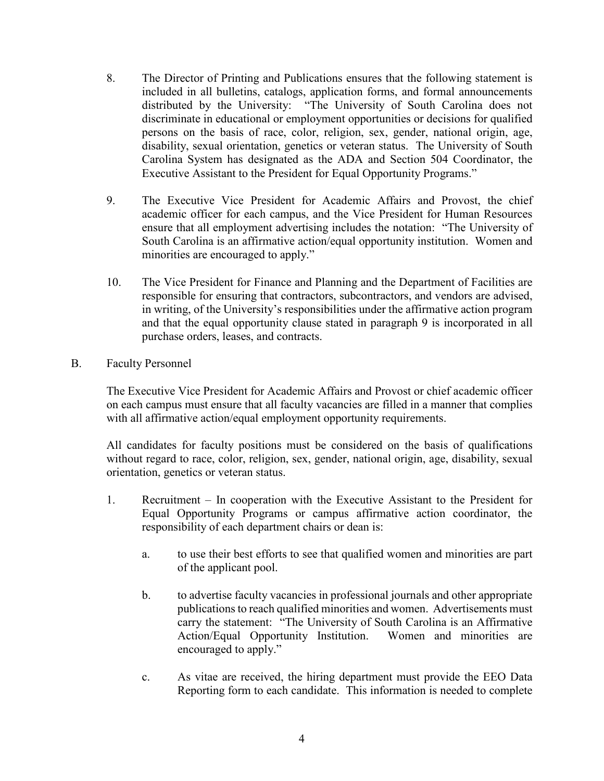- 8. The Director of Printing and Publications ensures that the following statement is included in all bulletins, catalogs, application forms, and formal announcements distributed by the University: "The University of South Carolina does not discriminate in educational or employment opportunities or decisions for qualified persons on the basis of race, color, religion, sex, gender, national origin, age, disability, sexual orientation, genetics or veteran status. The University of South Carolina System has designated as the ADA and Section 504 Coordinator, the Executive Assistant to the President for Equal Opportunity Programs."
- 9. The Executive Vice President for Academic Affairs and Provost, the chief academic officer for each campus, and the Vice President for Human Resources ensure that all employment advertising includes the notation: "The University of South Carolina is an affirmative action/equal opportunity institution. Women and minorities are encouraged to apply."
- 10. The Vice President for Finance and Planning and the Department of Facilities are responsible for ensuring that contractors, subcontractors, and vendors are advised, in writing, of the University's responsibilities under the affirmative action program and that the equal opportunity clause stated in paragraph 9 is incorporated in all purchase orders, leases, and contracts.
- B. Faculty Personnel

The Executive Vice President for Academic Affairs and Provost or chief academic officer on each campus must ensure that all faculty vacancies are filled in a manner that complies with all affirmative action/equal employment opportunity requirements.

All candidates for faculty positions must be considered on the basis of qualifications without regard to race, color, religion, sex, gender, national origin, age, disability, sexual orientation, genetics or veteran status.

- 1. Recruitment In cooperation with the Executive Assistant to the President for Equal Opportunity Programs or campus affirmative action coordinator, the responsibility of each department chairs or dean is:
	- a. to use their best efforts to see that qualified women and minorities are part of the applicant pool.
	- b. to advertise faculty vacancies in professional journals and other appropriate publications to reach qualified minorities and women. Advertisements must carry the statement: "The University of South Carolina is an Affirmative Action/Equal Opportunity Institution. Women and minorities are encouraged to apply."
	- c. As vitae are received, the hiring department must provide the EEO Data Reporting form to each candidate. This information is needed to complete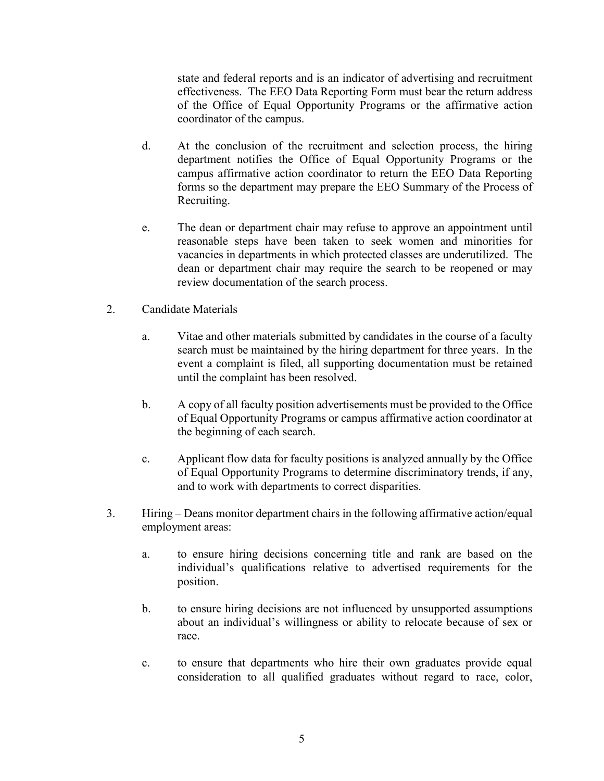state and federal reports and is an indicator of advertising and recruitment effectiveness. The EEO Data Reporting Form must bear the return address of the Office of Equal Opportunity Programs or the affirmative action coordinator of the campus.

- d. At the conclusion of the recruitment and selection process, the hiring department notifies the Office of Equal Opportunity Programs or the campus affirmative action coordinator to return the EEO Data Reporting forms so the department may prepare the EEO Summary of the Process of Recruiting.
- e. The dean or department chair may refuse to approve an appointment until reasonable steps have been taken to seek women and minorities for vacancies in departments in which protected classes are underutilized. The dean or department chair may require the search to be reopened or may review documentation of the search process.
- 2. Candidate Materials
	- a. Vitae and other materials submitted by candidates in the course of a faculty search must be maintained by the hiring department for three years. In the event a complaint is filed, all supporting documentation must be retained until the complaint has been resolved.
	- b. A copy of all faculty position advertisements must be provided to the Office of Equal Opportunity Programs or campus affirmative action coordinator at the beginning of each search.
	- c. Applicant flow data for faculty positions is analyzed annually by the Office of Equal Opportunity Programs to determine discriminatory trends, if any, and to work with departments to correct disparities.
- 3. Hiring Deans monitor department chairs in the following affirmative action/equal employment areas:
	- a. to ensure hiring decisions concerning title and rank are based on the individual's qualifications relative to advertised requirements for the position.
	- b. to ensure hiring decisions are not influenced by unsupported assumptions about an individual's willingness or ability to relocate because of sex or race.
	- c. to ensure that departments who hire their own graduates provide equal consideration to all qualified graduates without regard to race, color,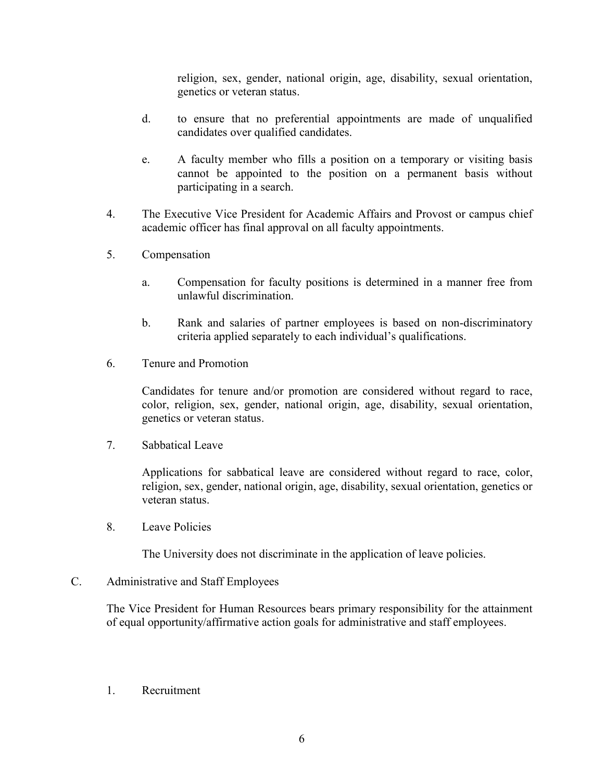religion, sex, gender, national origin, age, disability, sexual orientation, genetics or veteran status.

- d. to ensure that no preferential appointments are made of unqualified candidates over qualified candidates.
- e. A faculty member who fills a position on a temporary or visiting basis cannot be appointed to the position on a permanent basis without participating in a search.
- 4. The Executive Vice President for Academic Affairs and Provost or campus chief academic officer has final approval on all faculty appointments.
- 5. Compensation
	- a. Compensation for faculty positions is determined in a manner free from unlawful discrimination.
	- b. Rank and salaries of partner employees is based on non-discriminatory criteria applied separately to each individual's qualifications.
- 6. Tenure and Promotion

Candidates for tenure and/or promotion are considered without regard to race, color, religion, sex, gender, national origin, age, disability, sexual orientation, genetics or veteran status.

7. Sabbatical Leave

Applications for sabbatical leave are considered without regard to race, color, religion, sex, gender, national origin, age, disability, sexual orientation, genetics or veteran status.

8. Leave Policies

The University does not discriminate in the application of leave policies.

#### C. Administrative and Staff Employees

The Vice President for Human Resources bears primary responsibility for the attainment of equal opportunity/affirmative action goals for administrative and staff employees.

1. Recruitment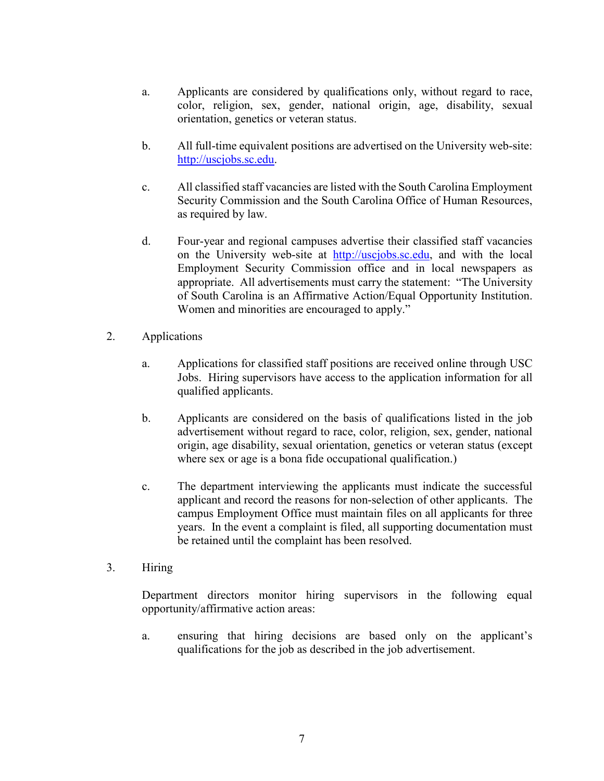- a. Applicants are considered by qualifications only, without regard to race, color, religion, sex, gender, national origin, age, disability, sexual orientation, genetics or veteran status.
- b. All full-time equivalent positions are advertised on the University web-site: [http://uscjobs.sc.edu.](http://uscjobs.sc.edu/)
- c. All classified staff vacancies are listed with the South Carolina Employment Security Commission and the South Carolina Office of Human Resources, as required by law.
- d. Four-year and regional campuses advertise their classified staff vacancies on the University web-site at [http://uscjobs.sc.edu,](http://uscjobs.sc.edu/) and with the local Employment Security Commission office and in local newspapers as appropriate. All advertisements must carry the statement: "The University of South Carolina is an Affirmative Action/Equal Opportunity Institution. Women and minorities are encouraged to apply."
- 2. Applications
	- a. Applications for classified staff positions are received online through USC Jobs. Hiring supervisors have access to the application information for all qualified applicants.
	- b. Applicants are considered on the basis of qualifications listed in the job advertisement without regard to race, color, religion, sex, gender, national origin, age disability, sexual orientation, genetics or veteran status (except where sex or age is a bona fide occupational qualification.)
	- c. The department interviewing the applicants must indicate the successful applicant and record the reasons for non-selection of other applicants. The campus Employment Office must maintain files on all applicants for three years. In the event a complaint is filed, all supporting documentation must be retained until the complaint has been resolved.
- 3. Hiring

Department directors monitor hiring supervisors in the following equal opportunity/affirmative action areas:

a. ensuring that hiring decisions are based only on the applicant's qualifications for the job as described in the job advertisement.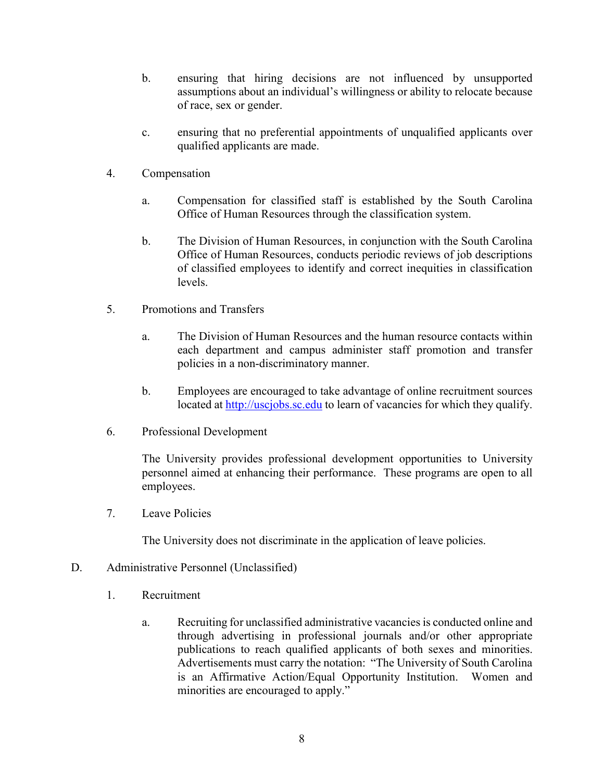- b. ensuring that hiring decisions are not influenced by unsupported assumptions about an individual's willingness or ability to relocate because of race, sex or gender.
- c. ensuring that no preferential appointments of unqualified applicants over qualified applicants are made.
- 4. Compensation
	- a. Compensation for classified staff is established by the South Carolina Office of Human Resources through the classification system.
	- b. The Division of Human Resources, in conjunction with the South Carolina Office of Human Resources, conducts periodic reviews of job descriptions of classified employees to identify and correct inequities in classification levels.
- 5. Promotions and Transfers
	- a. The Division of Human Resources and the human resource contacts within each department and campus administer staff promotion and transfer policies in a non-discriminatory manner.
	- b. Employees are encouraged to take advantage of online recruitment sources located at [http://uscjobs.sc.edu](http://uscjobs.sc.edu/) to learn of vacancies for which they qualify.
- 6. Professional Development

The University provides professional development opportunities to University personnel aimed at enhancing their performance. These programs are open to all employees.

7. Leave Policies

The University does not discriminate in the application of leave policies.

- D. Administrative Personnel (Unclassified)
	- 1. Recruitment
		- a. Recruiting for unclassified administrative vacancies is conducted online and through advertising in professional journals and/or other appropriate publications to reach qualified applicants of both sexes and minorities. Advertisements must carry the notation: "The University of South Carolina is an Affirmative Action/Equal Opportunity Institution. Women and minorities are encouraged to apply."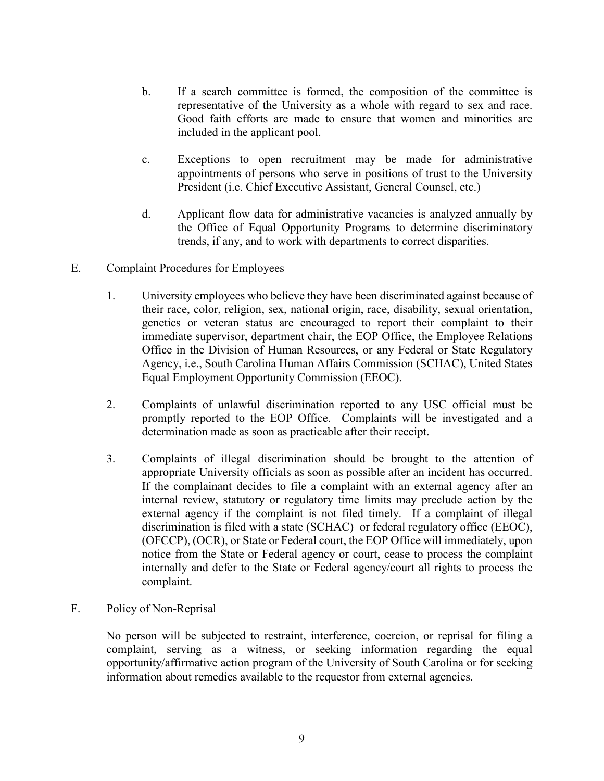- b. If a search committee is formed, the composition of the committee is representative of the University as a whole with regard to sex and race. Good faith efforts are made to ensure that women and minorities are included in the applicant pool.
- c. Exceptions to open recruitment may be made for administrative appointments of persons who serve in positions of trust to the University President (i.e. Chief Executive Assistant, General Counsel, etc.)
- d. Applicant flow data for administrative vacancies is analyzed annually by the Office of Equal Opportunity Programs to determine discriminatory trends, if any, and to work with departments to correct disparities.
- E. Complaint Procedures for Employees
	- 1. University employees who believe they have been discriminated against because of their race, color, religion, sex, national origin, race, disability, sexual orientation, genetics or veteran status are encouraged to report their complaint to their immediate supervisor, department chair, the EOP Office, the Employee Relations Office in the Division of Human Resources, or any Federal or State Regulatory Agency, i.e., South Carolina Human Affairs Commission (SCHAC), United States Equal Employment Opportunity Commission (EEOC).
	- 2. Complaints of unlawful discrimination reported to any USC official must be promptly reported to the EOP Office. Complaints will be investigated and a determination made as soon as practicable after their receipt.
	- 3. Complaints of illegal discrimination should be brought to the attention of appropriate University officials as soon as possible after an incident has occurred. If the complainant decides to file a complaint with an external agency after an internal review, statutory or regulatory time limits may preclude action by the external agency if the complaint is not filed timely. If a complaint of illegal discrimination is filed with a state (SCHAC) or federal regulatory office (EEOC), (OFCCP), (OCR), or State or Federal court, the EOP Office will immediately, upon notice from the State or Federal agency or court, cease to process the complaint internally and defer to the State or Federal agency/court all rights to process the complaint.
- F. Policy of Non-Reprisal

No person will be subjected to restraint, interference, coercion, or reprisal for filing a complaint, serving as a witness, or seeking information regarding the equal opportunity/affirmative action program of the University of South Carolina or for seeking information about remedies available to the requestor from external agencies.